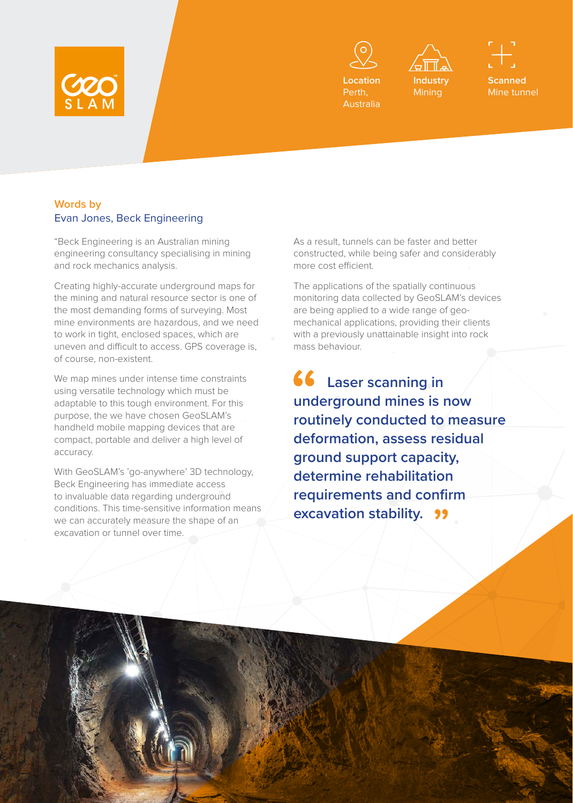



Australia



**Scanned** Mine tunnel

## **Words by**  Evan Jones, Beck Engineering

"Beck Engineering is an Australian mining engineering consultancy specialising in mining and rock mechanics analysis.

Creating highly-accurate underground maps for the mining and natural resource sector is one of the most demanding forms of surveying. Most mine environments are hazardous, and we need to work in tight, enclosed spaces, which are uneven and difficult to access. GPS coverage is, of course, non-existent.

We map mines under intense time constraints using versatile technology which must be adaptable to this tough environment. For this purpose, the we have chosen GeoSLAM's handheld mobile mapping devices that are compact, portable and deliver a high level of accuracy.

With GeoSLAM's 'go-anywhere' 3D technology, Beck Engineering has immediate access to invaluable data regarding underground conditions. This time-sensitive information means we can accurately measure the shape of an excavation or tunnel over time.

As a result, tunnels can be faster and better constructed, while being safer and considerably more cost efficient.

The applications of the spatially continuous monitoring data collected by GeoSLAM's devices are being applied to a wide range of geomechanical applications, providing their clients with a previously unattainable insight into rock mass behaviour.

 **Laser scanning in underground mines is now routinely conducted to measure deformation, assess residual ground support capacity, determine rehabilitation requirements and confirm excavation stability.** 99